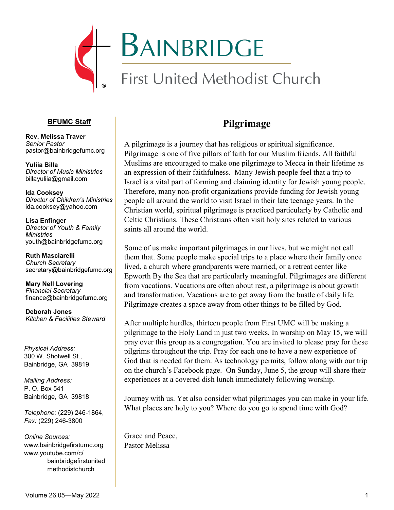

#### **BFUMC Staff**

**Rev. Melissa Traver** *Senior Pastor*  pastor@bainbridgefumc.org

**Yuliia Billa** *Director of Music Ministries*  billayuliia@gmail.com

**Ida Cooksey**<br>*Director of Children's Ministries* ida.cooksey@yahoo.com

**Lisa Enfinger** *Director of Youth & Family Ministries* youth@bainbridgefumc.org

**Ruth Masciarelli** *Church Secretary* 

**Mary Nell Lovering**  *Financial Secretary*  finance@bainbridgefumc.org

**Deborah Jones** *Kitchen & Facilities Steward*

*Physical Address:* 300 W. Shotwell St., Bainbridge, GA 39819

*Mailing Address:*  P. O. Box 541 Bainbridge, GA 39818

*Telephone:* (229) 246-1864, *Fax:* (229) 246-3800

*Online Sources:*  www.bainbridgefirstumc.org www.youtube.com/c/ bainbridgefirstunited methodistchurch

## **Pilgrimage**

A pilgrimage is a journey that has religious or spiritual significance. Pilgrimage is one of five pillars of faith for our Muslim friends. All faithful Muslims are encouraged to make one pilgrimage to Mecca in their lifetime as an expression of their faithfulness. Many Jewish people feel that a trip to Israel is a vital part of forming and claiming identity for Jewish young people. Therefore, many non-profit organizations provide funding for Jewish young people all around the world to visit Israel in their late teenage years. In the Christian world, spiritual pilgrimage is practiced particularly by Catholic and Celtic Christians. These Christians often visit holy sites related to various saints all around the world.

Some of us make important pilgrimages in our lives, but we might not call them that. Some people make special trips to a place where their family once lived, a church where grandparents were married, or a retreat center like Epworth By the Sea that are particularly meaningful. Pilgrimages are different from vacations. Vacations are often about rest, a pilgrimage is about growth and transformation. Vacations are to get away from the bustle of daily life. Pilgrimage creates a space away from other things to be filled by God.

After multiple hurdles, thirteen people from First UMC will be making a pilgrimage to the Holy Land in just two weeks. In worship on May 15, we will pray over this group as a congregation. You are invited to please pray for these pilgrims throughout the trip. Pray for each one to have a new experience of God that is needed for them. As technology permits, follow along with our trip on the church's Facebook page. On Sunday, June 5, the group will share their experiences at a covered dish lunch immediately following worship.

Journey with us. Yet also consider what pilgrimages you can make in your life. What places are holy to you? Where do you go to spend time with God?

Grace and Peace, Pastor Melissa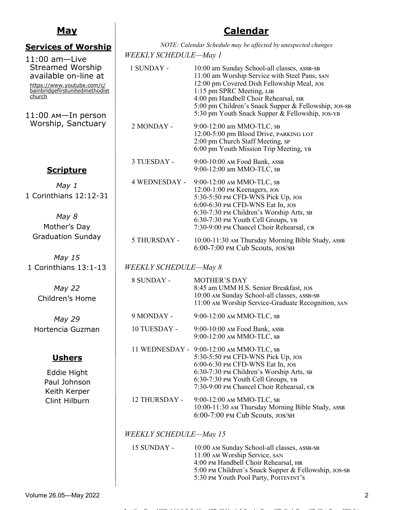## **May**

#### **Services of Worship**  11:00 am—Live Streamed Worship available on-line at [https://www.youtube.com/c/](https://www.youtube.com/c/bainbridgefirstunitedmethodistchurch) [bainbridgefirstunitedmethodist](https://www.youtube.com/c/bainbridgefirstunitedmethodistchurch) [church](https://www.youtube.com/c/bainbridgefirstunitedmethodistchurch) 11:00 am—In person Worship, Sanctuary *NOTE: Calendar Schedule may be affected by unexpected changes WEEKLY SCHEDULE—May 1* 1 SUNDAY - 10:00 am Sunday School-all classes, assb-sb 11:00 am Worship Service with Steel Pans, san 12:00 pm Covered Dish Fellowship Meal, jos 1:15 pm SPRC Meeting, LIB 4:00 pm Handbell Choir Rehearsal, hr 5:00 pm Children's Snack Supper & Fellowship, jos-sb 5:30 pm Youth Snack Supper & Fellowship, jos-yb 2 MONDAY - 9:00-12:00 am MMO-TLC, sb 12:00-5:00 pm Blood Drive, parking lot 2:00 pm Church Staff Meeting, sp 6:00 pm Youth Mission Trip Meeting, yb 3 TUESDAY - 9:00-10:00 am Food Bank, assb 9:00-12:00 am MMO-TLC, sb 4 WEDNESDAY - 9:00-12:00 am MMO-TLC, sb 12:00-1:00 pm Keenagers, jos 5:30-5:50 pm CFD-WNS Pick Up, jos 6:00-6:30 pm CFD-WNS Eat In, jos 6:30-7:30 pm Children's Worship Arts, sb 6:30-7:30 pm Youth Cell Groups, yb 7:30-9:00 pm Chancel Choir Rehearsal, cr 5 THURSDAY - 10:00-11:30 am Thursday Morning Bible Study, assb 6:00-7:00 pm Cub Scouts, jos/sh *WEEKLY SCHEDULE—May 8* 8 SUNDAY - MOTHER'S DAY 8:45 am UMM H.S. Senior Breakfast, jos 10:00 AM Sunday School-all classes, ASSB-SB 11:00 am Worship Service-Graduate Recognition, san 9 MONDAY - 9:00-12:00 am MMO-TLC, sb 10 TUESDAY - 9:00-10:00 am Food Bank, assb 9:00-12:00 am MMO-TLC, sb 11 WEDNESDAY - 9:00-12:00 am MMO-TLC, sb 5:30-5:50 pm CFD-WNS Pick Up, jos 6:00-6:30 pm CFD-WNS Eat In, jos 6:30-7:30 pm Children's Worship Arts, sb 6:30-7:30 pm Youth Cell Groups, yb 7:30-9:00 pm Chancel Choir Rehearsal, cr 12 THURSDAY - 9:00-12:00 am MMO-TLC, sb 10:00-11:30 am Thursday Morning Bible Study, assb 6:00-7:00 pm Cub Scouts, jos/sh *WEEKLY SCHEDULE—May 15* 15 SUNDAY - 10:00 AM Sunday School-all classes, ASSB-SB 11:00 am Worship Service, san 4:00 pm Handbell Choir Rehearsal, hr 5:00 pm Children's Snack Supper & Fellowship, jos-sb 5:30 PM Youth Pool Party, POITEVINT'S **Scripture** *May 1* 1 Corinthians 12:12-31 *May 8* Mother's Day Graduation Sunday *May 15* 1 Corinthians 13:1-13 *May 22* Children's Home *May 29* Hortencia Guzman **Ushers** Eddie Hight Paul Johnson Keith Kerper Clint Hilburn

**Calendar**

**Locations Key:** ASSB=Adult S. S. Building, CFR=Children's Fellowship Room, CIR=Circle Room, CR=Choir Room, EBS=Ester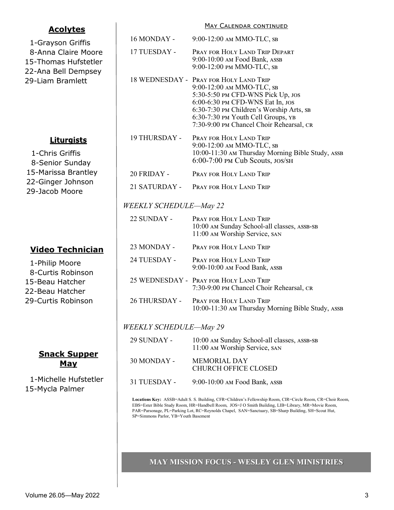-Grayson Griffis -Anna Claire Moore -Thomas Hufstetler -Ana Bell Dempsey -Liam Bramlett

**Acolytes**

## **Liturgists**

-Chris Griffis -Senior Sunday -Marissa Brantley -Ginger Johnson -Jacob Moore

## **Video Technician**

1-Philip Moore

- 8-Curtis Robinson
- 15-Beau Hatcher
- 22-Beau Hatcher
- 29-Curtis Robinson

## **Snack Supper May**

 1-Michelle Hufstetler 15-Mycla Palmer

| <u>MAY CALENDAR CONTINUED</u> |                                                                                                                                                                                                                                                                            |  |
|-------------------------------|----------------------------------------------------------------------------------------------------------------------------------------------------------------------------------------------------------------------------------------------------------------------------|--|
| 16 MONDAY -                   | 9:00-12:00 AM MMO-TLC, SB                                                                                                                                                                                                                                                  |  |
| 17 TUESDAY -                  | PRAY FOR HOLY LAND TRIP DEPART<br>9:00-10:00 AM Food Bank, ASSB<br>9:00-12:00 PM MMO-TLC, SB                                                                                                                                                                               |  |
|                               | 18 WEDNESDAY - PRAY FOR HOLY LAND TRIP<br>9:00-12:00 AM MMO-TLC, SB<br>5:30-5:50 PM CFD-WNS Pick Up, JOS<br>6:00-6:30 PM CFD-WNS Eat In, JOS<br>6:30-7:30 PM Children's Worship Arts, SB<br>6:30-7:30 PM Youth Cell Groups, YB<br>7:30-9:00 PM Chancel Choir Rehearsal, CR |  |
| 19 THURSDAY -                 | PRAY FOR HOLY LAND TRIP<br>9:00-12:00 AM MMO-TLC, SB<br>10:00-11:30 AM Thursday Morning Bible Study, ASSB<br>$6:00-7:00$ PM Cub Scouts, $JOS\$ SH                                                                                                                          |  |
| $20$ FRIDAY -                 | PRAY FOR HOLY LAND TRIP                                                                                                                                                                                                                                                    |  |
| 21 SATURDAY -                 | PRAY FOR HOLY LAND TRIP                                                                                                                                                                                                                                                    |  |
| <i>WEEKLY SCHEDULE—May 22</i> |                                                                                                                                                                                                                                                                            |  |
| 22 SUNDAY -                   | PRAY FOR HOLY LAND TRIP<br>10:00 AM Sunday School-all classes, ASSB-SB<br>11:00 AM Worship Service, SAN                                                                                                                                                                    |  |
| 23 MONDAY -                   | PRAY FOR HOLY LAND TRIP                                                                                                                                                                                                                                                    |  |
| 24 TUESDAY -                  | PRAY FOR HOLY LAND TRIP<br>9:00-10:00 AM Food Bank, ASSB                                                                                                                                                                                                                   |  |
|                               | 25 WEDNESDAY - PRAY FOR HOLY LAND TRIP<br>7:30-9:00 PM Chancel Choir Rehearsal, CR                                                                                                                                                                                         |  |
| <b>26 THURSDAY -</b>          | PRAY FOR HOLY LAND TRIP<br>10:00-11:30 AM Thursday Morning Bible Study, ASSB                                                                                                                                                                                               |  |
| <b>WEEKLY SCHEDULE-May 29</b> |                                                                                                                                                                                                                                                                            |  |
| 29 SUNDAY -                   | 10:00 AM Sunday School-all classes, ASSB-SB<br>11:00 AM Worship Service, SAN                                                                                                                                                                                               |  |
| 30 MONDAY -                   | <b>MEMORIAL DAY</b><br><b>CHURCH OFFICE CLOSED</b>                                                                                                                                                                                                                         |  |
| 31 TUESDAY -                  | 9:00-10:00 AM Food Bank, ASSB                                                                                                                                                                                                                                              |  |
|                               |                                                                                                                                                                                                                                                                            |  |

**Locations Key:** ASSB=Adult S. S. Building, CFR=Children's Fellowship Room, CIR=Circle Room, CR=Choir Room, EBS=Ester Bible Study Room, HR=Handbell Room, JOS=J O Smith Building, LIB=Library, MR=Movie Room, PAR=Parsonage, PL=Parking Lot, RC=Reynolds Chapel, SAN=Sanctuary, SB=Sharp Building, SH=Scout Hut, SP=Simmons Parlor, YB=Youth Basement

#### **MAY MISSION FOCUS - WESLEY GLEN MINISTRIES**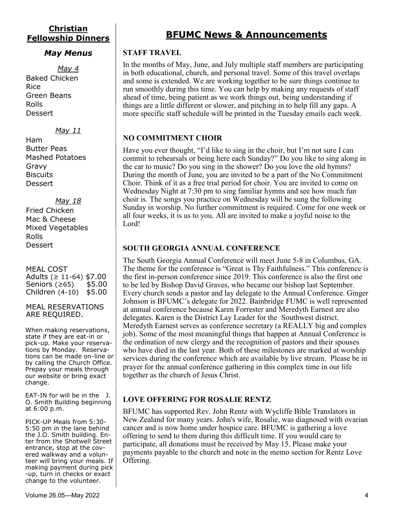## **Christian Fellowship Dinners**

#### *May Menus*

*May 4* Baked Chicken Rice Green Beans Rolls **Dessert** 

#### *May 11*

Ham Butter Peas Mashed Potatoes Gravy **Biscuits Dessert** 

#### *May 18*

Fried Chicken Mac & Cheese Mixed Vegetables Rolls **Dessert** 

MEAL COST Adults (≥ 11-64) \$7.00 Seniors (≥65) \$5.00 Children (4-10) \$5.00

#### MEAL RESERVATIONS ARE REQUIRED.

When making reservations, state if they are eat-in or pick-up. Make your reservations by Monday. Reservations can be made on-line or by calling the Church Office. Prepay your meals through our website or bring exact change.

EAT-IN for will be in the J. O. Smith Building beginning at 6:00 p.m.

PICK-UP Meals from 5:30- 5:50 pm in the lane behind the J.O. Smith building. Enter from the Shotwell Street entrance, stop at the covered walkway and a volunteer will bring your meals. If making payment during pick -up, turn in checks or exact change to the volunteer.

## **BFUMC News & Announcements**

#### **STAFF TRAVEL**

In the months of May, June, and July multiple staff members are participating in both educational, church, and personal travel. Some of this travel overlaps and some is extended. We are working together to be sure things continue to run smoothly during this time. You can help by making any requests of staff ahead of time, being patient as we work things out, being understanding if things are a little different or slower, and pitching in to help fill any gaps. A more specific staff schedule will be printed in the Tuesday emails each week.

#### **NO COMMITMENT CHOIR**

Have you ever thought, "I'd like to sing in the choir, but I'm not sure I can commit to rehearsals or being here each Sunday?" Do you like to sing along in the car to music? Do you sing in the shower? Do you love the old hymns? During the month of June, you are invited to be a part of the No Commitment Choir. Think of it as a free trial period for choir. You are invited to come on Wednesday Night at 7:30 pm to sing familiar hymns and see how much fun choir is. The songs you practice on Wednesday will be sung the following Sunday in worship. No further commitment is required. Come for one week or all four weeks, it is us to you. All are invited to make a joyful noise to the Lord!

#### **SOUTH GEORGIA ANNUAL CONFERENCE**

The South Georgia Annual Conference will meet June 5-8 in Columbus, GA. The theme for the conference is "Great is Thy Faithfulness." This conference is the first in-person conference since 2019. This conference is also the first one to be led by Bishop David Graves, who became our bishop last September. Every church sends a pastor and lay delegate to the Annual Conference. Ginger Johnson is BFUMC's delegate for 2022. Bainbridge FUMC is well represented at annual conference because Karen Forrester and Meredyth Earnest are also delegates. Karen is the District Lay Leader for the Southwest district. Meredyth Earnest serves as conference secretary (a REALLY big and complex job). Some of the most meaningful things that happen at Annual Conference is the ordination of new clergy and the recognition of pastors and their spouses who have died in the last year. Both of these milestones are marked at worship services during the conference which are available by live stream. Please be in prayer for the annual conference gathering in this complex time in our life together as the church of Jesus Christ.

#### **LOVE OFFERING FOR ROSALIE RENTZ**

BFUMC has supported Rev. John Rentz with Wycliffe Bible Translators in New Zealand for many years. John's wife, Rosalie, was diagnosed with ovarian cancer and is now home under hospice care. BFUMC is gathering a love offering to send to them during this difficult time. If you would care to participate, all donations must be received by May 15. Please make your payments payable to the church and note in the memo section for Rentz Love Offering.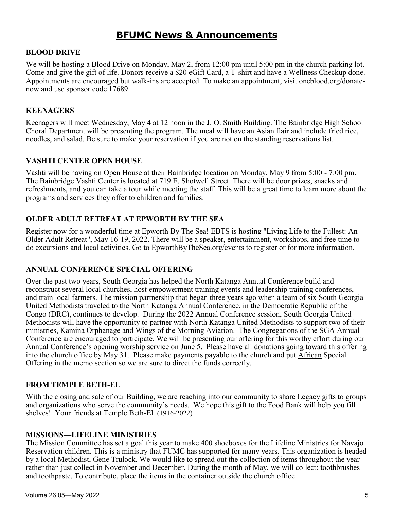## **BFUMC News & Announcements**

#### **BLOOD DRIVE**

We will be hosting a Blood Drive on Monday, May 2, from 12:00 pm until 5:00 pm in the church parking lot. Come and give the gift of life. Donors receive a \$20 eGift Card, a T-shirt and have a Wellness Checkup done. Appointments are encouraged but walk-ins are accepted. To make an appointment, visit oneblood.org/donatenow and use sponsor code 17689.

#### **KEENAGERS**

Keenagers will meet Wednesday, May 4 at 12 noon in the J. O. Smith Building. The Bainbridge High School Choral Department will be presenting the program. The meal will have an Asian flair and include fried rice, noodles, and salad. Be sure to make your reservation if you are not on the standing reservations list.

#### **VASHTI CENTER OPEN HOUSE**

Vashti will be having on Open House at their Bainbridge location on Monday, May 9 from 5:00 - 7:00 pm. The Bainbridge Vashti Center is located at 719 E. Shotwell Street. There will be door prizes, snacks and refreshments, and you can take a tour while meeting the staff. This will be a great time to learn more about the programs and services they offer to children and families.

#### **OLDER ADULT RETREAT AT EPWORTH BY THE SEA**

Register now for a wonderful time at Epworth By The Sea! EBTS is hosting "Living Life to the Fullest: An Older Adult Retreat", May 16-19, 2022. There will be a speaker, entertainment, workshops, and free time to do excursions and local activities. Go to EpworthByTheSea.org/events to register or for more information.

#### **ANNUAL CONFERENCE SPECIAL OFFERING**

Over the past two years, South Georgia has helped the North Katanga Annual Conference build and reconstruct several local churches, host empowerment training events and leadership training conferences, and train local farmers. The mission partnership that began three years ago when a team of six South Georgia United Methodists traveled to the North Katanga Annual Conference, in the Democratic Republic of the Congo (DRC), continues to develop. During the 2022 Annual Conference session, South Georgia United Methodists will have the opportunity to partner with North Katanga United Methodists to support two of their ministries, Kamina Orphanage and Wings of the Morning Aviation. The Congregations of the SGA Annual Conference are encouraged to participate. We will be presenting our offering for this worthy effort during our Annual Conference's opening worship service on June 5. Please have all donations going toward this offering into the church office by May 31. Please make payments payable to the church and put African Special Offering in the memo section so we are sure to direct the funds correctly.

#### **FROM TEMPLE BETH-EL**

With the closing and sale of our Building, we are reaching into our community to share Legacy gifts to groups and organizations who serve the community's needs. We hope this gift to the Food Bank will help you fill shelves! Your friends at Temple Beth-El (1916-2022)

#### **MISSIONS—LIFELINE MINISTRIES**

The Mission Committee has set a goal this year to make 400 shoeboxes for the Lifeline Ministries for Navajo Reservation children. This is a ministry that FUMC has supported for many years. This organization is headed by a local Methodist, Gene Trulock. We would like to spread out the collection of items throughout the year rather than just collect in November and December. During the month of May, we will collect: toothbrushes and toothpaste. To contribute, place the items in the container outside the church office.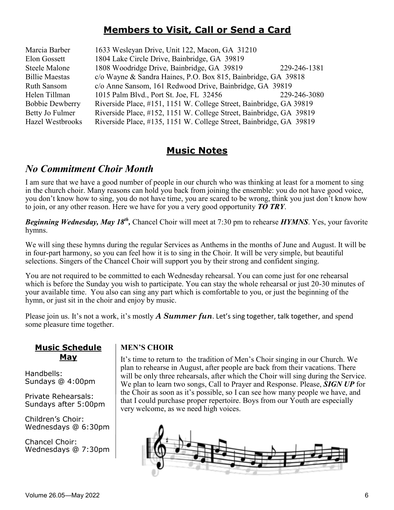## **Members to Visit, Call or Send a Card**

| Marcia Barber          | 1633 Wesleyan Drive, Unit 122, Macon, GA 31210                      |              |
|------------------------|---------------------------------------------------------------------|--------------|
| Elon Gossett           | 1804 Lake Circle Drive, Bainbridge, GA 39819                        |              |
| <b>Steele Malone</b>   | 1808 Woodridge Drive, Bainbridge, GA 39819                          | 229-246-1381 |
| <b>Billie Maestas</b>  | c/o Wayne & Sandra Haines, P.O. Box 815, Bainbridge, GA 39818       |              |
| Ruth Sansom            | c/o Anne Sansom, 161 Redwood Drive, Bainbridge, GA 39819            |              |
| Helen Tillman          | 1015 Palm Blvd., Port St. Joe, FL 32456                             | 229-246-3080 |
| <b>Bobbie Dewberry</b> | Riverside Place, #151, 1151 W. College Street, Bainbridge, GA 39819 |              |
| Betty Jo Fulmer        | Riverside Place, #152, 1151 W. College Street, Bainbridge, GA 39819 |              |
| Hazel Westbrooks       | Riverside Place, #135, 1151 W. College Street, Bainbridge, GA 39819 |              |
|                        |                                                                     |              |

## **Music Notes**

## *No Commitment Choir Month*

I am sure that we have a good number of people in our church who was thinking at least for a moment to sing in the church choir. Many reasons can hold you back from joining the ensemble: you do not have good voice, you don't know how to sing, you do not have time, you are scared to be wrong, think you just don't know how to join, or any other reason. Here we have for you a very good opportunity *TO TRY*.

*Beginning Wednesday, May 18<sup>th</sup>,* Chancel Choir will meet at 7:30 pm to rehearse *HYMNS*. Yes, your favorite hymns.

We will sing these hymns during the regular Services as Anthems in the months of June and August. It will be in four-part harmony, so you can feel how it is to sing in the Choir. It will be very simple, but beautiful selections. Singers of the Chancel Choir will support you by their strong and confident singing.

You are not required to be committed to each Wednesday rehearsal. You can come just for one rehearsal which is before the Sunday you wish to participate. You can stay the whole rehearsal or just 20-30 minutes of your available time. You also can sing any part which is comfortable to you, or just the beginning of the hymn, or just sit in the choir and enjoy by music.

Please join us. It's not a work, it's mostly *A Summer fun*. Let's sing together, talk together, and spend some pleasure time together.

#### **Music Schedule May**

Handbells: Sundays @ 4:00pm

Private Rehearsals: Sundays after 5:00pm

Children's Choir: Wednesdays @ 6:30pm

Chancel Choir: Wednesdays @ 7:30pm

#### **MEN'S CHOIR**

It's time to return to the tradition of Men's Choir singing in our Church. We plan to rehearse in August, after people are back from their vacations. There will be only three rehearsals, after which the Choir will sing during the Service. We plan to learn two songs, Call to Prayer and Response. Please, *SIGN UP* for the Choir as soon as it's possible, so I can see how many people we have, and that I could purchase proper repertoire. Boys from our Youth are especially very welcome, as we need high voices.

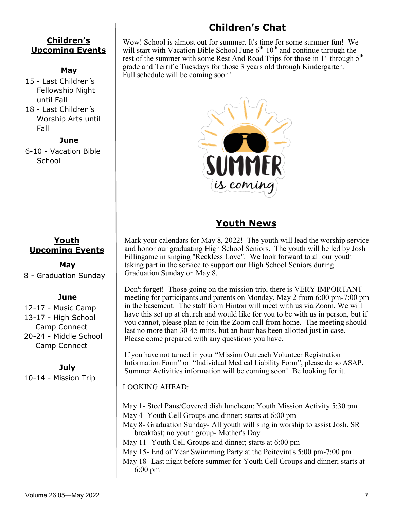#### **Children's Upcoming Events**

#### **May**

- 15 Last Children's Fellowship Night until Fall
- 18 Last Children's Worship Arts until Fall

#### **June**

6-10 - Vacation Bible **School** 



#### **May**

8 - Graduation Sunday

#### **June**

12-17 - Music Camp 13-17 - High School Camp Connect 20-24 - Middle School Camp Connect

#### **July**

10-14 - Mission Trip

# **Children's Chat**

Wow! School is almost out for summer. It's time for some summer fun! We will start with Vacation Bible School June  $6<sup>th</sup>$ -10<sup>th</sup> and continue through the rest of the summer with some Rest And Road Trips for those in  $1<sup>st</sup>$  through  $5<sup>th</sup>$ grade and Terrific Tuesdays for those 3 years old through Kindergarten. Full schedule will be coming soon!



## **Youth News**

Mark your calendars for May 8, 2022! The youth will lead the worship service and honor our graduating High School Seniors. The youth will be led by Josh Fillingame in singing "Reckless Love". We look forward to all our youth taking part in the service to support our High School Seniors during Graduation Sunday on May 8.

Don't forget! Those going on the mission trip, there is VERY IMPORTANT meeting for participants and parents on Monday, May 2 from 6:00 pm-7:00 pm in the basement. The staff from Hinton will meet with us via Zoom. We will have this set up at church and would like for you to be with us in person, but if you cannot, please plan to join the Zoom call from home. The meeting should last no more than 30-45 mins, but an hour has been allotted just in case. Please come prepared with any questions you have.

If you have not turned in your "Mission Outreach Volunteer Registration Information Form" or "Individual Medical Liability Form", please do so ASAP. Summer Activities information will be coming soon! Be looking for it.

LOOKING AHEAD:

May 1- Steel Pans/Covered dish luncheon; Youth Mission Activity 5:30 pm May 4- Youth Cell Groups and dinner; starts at 6:00 pm May 8- Graduation Sunday- All youth will sing in worship to assist Josh. SR breakfast; no youth group- Mother's Day May 11- Youth Cell Groups and dinner; starts at 6:00 pm May 15- End of Year Swimming Party at the Poitevint's 5:00 pm-7:00 pm May 18- Last night before summer for Youth Cell Groups and dinner; starts at 6:00 pm